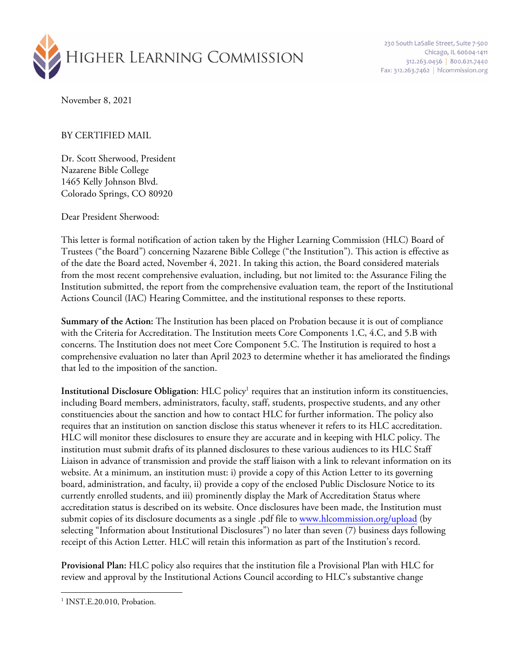

230 South LaSalle Street, Suite 7-500 Chicago, IL 60604-1411 312.263.0456 800.621.7440 Fax: 312.263.7462 | hlcommission.org

November 8, 2021

BY CERTIFIED MAIL

Dr. Scott Sherwood, President Nazarene Bible College 1465 Kelly Johnson Blvd. Colorado Springs, CO 80920

Dear President Sherwood:

This letter is formal notification of action taken by the Higher Learning Commission (HLC) Board of Trustees ("the Board") concerning Nazarene Bible College ("the Institution"). This action is effective as of the date the Board acted, November 4, 2021. In taking this action, the Board considered materials from the most recent comprehensive evaluation, including, but not limited to: the Assurance Filing the Institution submitted, the report from the comprehensive evaluation team, the report of the Institutional Actions Council (IAC) Hearing Committee, and the institutional responses to these reports.

**Summary of the Action:** The Institution has been placed on Probation because it is out of compliance with the Criteria for Accreditation. The Institution meets Core Components 1.C, 4.C, and 5.B with concerns. The Institution does not meet Core Component 5.C. The Institution is required to host a comprehensive evaluation no later than April 2023 to determine whether it has ameliorated the findings that led to the imposition of the sanction.

**Institutional Disclosure Obligation**: HLC policy<sup>1</sup> requires that an institution inform its constituencies, including Board members, administrators, faculty, staff, students, prospective students, and any other constituencies about the sanction and how to contact HLC for further information. The policy also requires that an institution on sanction disclose this status whenever it refers to its HLC accreditation. HLC will monitor these disclosures to ensure they are accurate and in keeping with HLC policy. The institution must submit drafts of its planned disclosures to these various audiences to its HLC Staff Liaison in advance of transmission and provide the staff liaison with a link to relevant information on its website. At a minimum, an institution must: i) provide a copy of this Action Letter to its governing board, administration, and faculty, ii) provide a copy of the enclosed Public Disclosure Notice to its currently enrolled students, and iii) prominently display the Mark of Accreditation Status where accreditation status is described on its website. Once disclosures have been made, the Institution must submit copies of its disclosure documents as a single .pdf file to www.hlcommission.org/upload (by selecting "Information about Institutional Disclosures") no later than seven (7) business days following receipt of this Action Letter. HLC will retain this information as part of the Institution's record.

**Provisional Plan:** HLC policy also requires that the institution file a Provisional Plan with HLC for review and approval by the Institutional Actions Council according to HLC's substantive change

<sup>&</sup>lt;sup>1</sup> INST.E.20.010, Probation.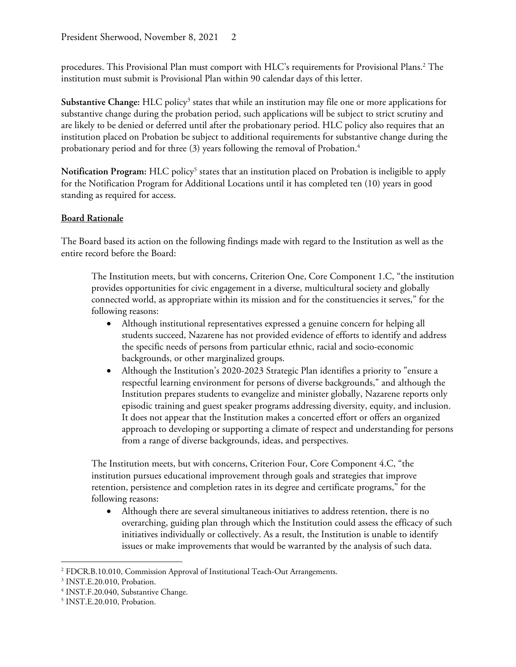procedures. This Provisional Plan must comport with HLC's requirements for Provisional Plans. <sup>2</sup> The institution must submit is Provisional Plan within 90 calendar days of this letter.

**Substantive Change:** HLC policy3 states that while an institution may file one or more applications for substantive change during the probation period, such applications will be subject to strict scrutiny and are likely to be denied or deferred until after the probationary period. HLC policy also requires that an institution placed on Probation be subject to additional requirements for substantive change during the probationary period and for three (3) years following the removal of Probation.<sup>4</sup>

Notification Program: HLC policy<sup>5</sup> states that an institution placed on Probation is ineligible to apply for the Notification Program for Additional Locations until it has completed ten (10) years in good standing as required for access.

## **Board Rationale**

The Board based its action on the following findings made with regard to the Institution as well as the entire record before the Board:

The Institution meets, but with concerns, Criterion One, Core Component 1.C, "the institution provides opportunities for civic engagement in a diverse, multicultural society and globally connected world, as appropriate within its mission and for the constituencies it serves," for the following reasons:

- Although institutional representatives expressed a genuine concern for helping all students succeed, Nazarene has not provided evidence of efforts to identify and address the specific needs of persons from particular ethnic, racial and socio-economic backgrounds, or other marginalized groups.
- Although the Institution's 2020-2023 Strategic Plan identifies a priority to "ensure a respectful learning environment for persons of diverse backgrounds," and although the Institution prepares students to evangelize and minister globally, Nazarene reports only episodic training and guest speaker programs addressing diversity, equity, and inclusion. It does not appear that the Institution makes a concerted effort or offers an organized approach to developing or supporting a climate of respect and understanding for persons from a range of diverse backgrounds, ideas, and perspectives.

The Institution meets, but with concerns, Criterion Four, Core Component 4.C, "the institution pursues educational improvement through goals and strategies that improve retention, persistence and completion rates in its degree and certificate programs," for the following reasons:

• Although there are several simultaneous initiatives to address retention, there is no overarching, guiding plan through which the Institution could assess the efficacy of such initiatives individually or collectively. As a result, the Institution is unable to identify issues or make improvements that would be warranted by the analysis of such data.

<sup>2</sup> FDCR.B.10.010, Commission Approval of Institutional Teach-Out Arrangements.

<sup>3</sup> INST.E.20.010, Probation.

<sup>&</sup>lt;sup>4</sup> INST.F.20.040, Substantive Change.

<sup>5</sup> INST.E.20.010, Probation.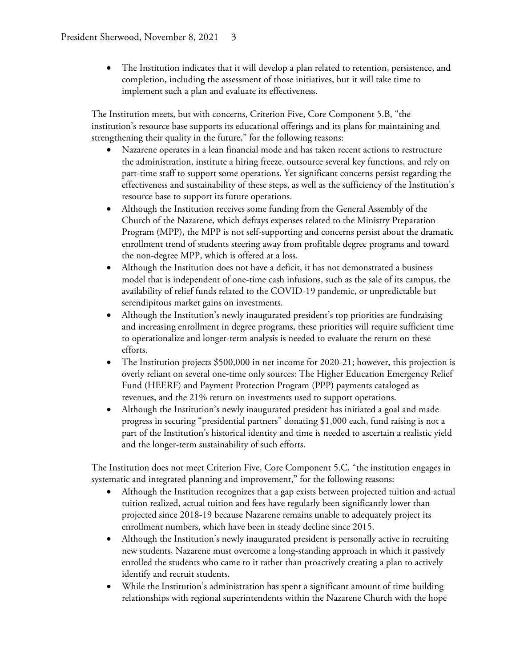• The Institution indicates that it will develop a plan related to retention, persistence, and completion, including the assessment of those initiatives, but it will take time to implement such a plan and evaluate its effectiveness.

The Institution meets, but with concerns, Criterion Five, Core Component 5.B, "the institution's resource base supports its educational offerings and its plans for maintaining and strengthening their quality in the future," for the following reasons:

- Nazarene operates in a lean financial mode and has taken recent actions to restructure the administration, institute a hiring freeze, outsource several key functions, and rely on part-time staff to support some operations. Yet significant concerns persist regarding the effectiveness and sustainability of these steps, as well as the sufficiency of the Institution's resource base to support its future operations.
- Although the Institution receives some funding from the General Assembly of the Church of the Nazarene, which defrays expenses related to the Ministry Preparation Program (MPP), the MPP is not self-supporting and concerns persist about the dramatic enrollment trend of students steering away from profitable degree programs and toward the non-degree MPP, which is offered at a loss.
- Although the Institution does not have a deficit, it has not demonstrated a business model that is independent of one-time cash infusions, such as the sale of its campus, the availability of relief funds related to the COVID-19 pandemic, or unpredictable but serendipitous market gains on investments.
- Although the Institution's newly inaugurated president's top priorities are fundraising and increasing enrollment in degree programs, these priorities will require sufficient time to operationalize and longer-term analysis is needed to evaluate the return on these efforts.
- The Institution projects \$500,000 in net income for 2020-21; however, this projection is overly reliant on several one-time only sources: The Higher Education Emergency Relief Fund (HEERF) and Payment Protection Program (PPP) payments cataloged as revenues, and the 21% return on investments used to support operations.
- Although the Institution's newly inaugurated president has initiated a goal and made progress in securing "presidential partners" donating \$1,000 each, fund raising is not a part of the Institution's historical identity and time is needed to ascertain a realistic yield and the longer-term sustainability of such efforts.

The Institution does not meet Criterion Five, Core Component 5.C, "the institution engages in systematic and integrated planning and improvement," for the following reasons:

- Although the Institution recognizes that a gap exists between projected tuition and actual tuition realized, actual tuition and fees have regularly been significantly lower than projected since 2018-19 because Nazarene remains unable to adequately project its enrollment numbers, which have been in steady decline since 2015.
- Although the Institution's newly inaugurated president is personally active in recruiting new students, Nazarene must overcome a long-standing approach in which it passively enrolled the students who came to it rather than proactively creating a plan to actively identify and recruit students.
- While the Institution's administration has spent a significant amount of time building relationships with regional superintendents within the Nazarene Church with the hope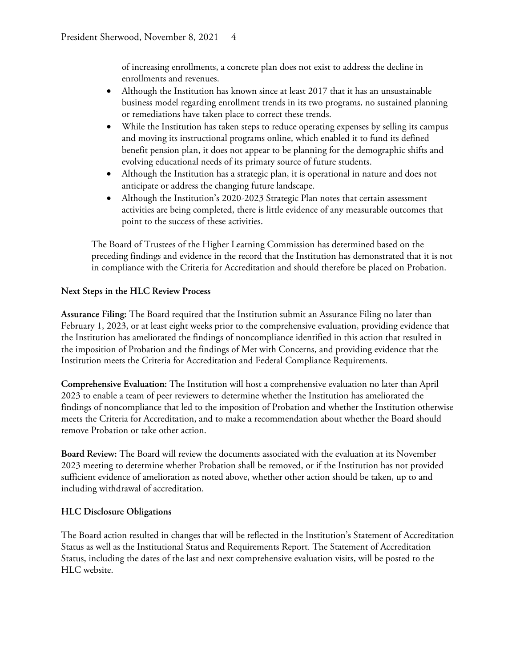of increasing enrollments, a concrete plan does not exist to address the decline in enrollments and revenues.

- Although the Institution has known since at least 2017 that it has an unsustainable business model regarding enrollment trends in its two programs, no sustained planning or remediations have taken place to correct these trends.
- While the Institution has taken steps to reduce operating expenses by selling its campus and moving its instructional programs online, which enabled it to fund its defined benefit pension plan, it does not appear to be planning for the demographic shifts and evolving educational needs of its primary source of future students.
- Although the Institution has a strategic plan, it is operational in nature and does not anticipate or address the changing future landscape.
- Although the Institution's 2020-2023 Strategic Plan notes that certain assessment activities are being completed, there is little evidence of any measurable outcomes that point to the success of these activities.

The Board of Trustees of the Higher Learning Commission has determined based on the preceding findings and evidence in the record that the Institution has demonstrated that it is not in compliance with the Criteria for Accreditation and should therefore be placed on Probation.

## **Next Steps in the HLC Review Process**

**Assurance Filing:** The Board required that the Institution submit an Assurance Filing no later than February 1, 2023, or at least eight weeks prior to the comprehensive evaluation, providing evidence that the Institution has ameliorated the findings of noncompliance identified in this action that resulted in the imposition of Probation and the findings of Met with Concerns, and providing evidence that the Institution meets the Criteria for Accreditation and Federal Compliance Requirements.

**Comprehensive Evaluation:** The Institution will host a comprehensive evaluation no later than April 2023 to enable a team of peer reviewers to determine whether the Institution has ameliorated the findings of noncompliance that led to the imposition of Probation and whether the Institution otherwise meets the Criteria for Accreditation, and to make a recommendation about whether the Board should remove Probation or take other action.

**Board Review:** The Board will review the documents associated with the evaluation at its November 2023 meeting to determine whether Probation shall be removed, or if the Institution has not provided sufficient evidence of amelioration as noted above, whether other action should be taken, up to and including withdrawal of accreditation.

## **HLC Disclosure Obligations**

The Board action resulted in changes that will be reflected in the Institution's Statement of Accreditation Status as well as the Institutional Status and Requirements Report. The Statement of Accreditation Status, including the dates of the last and next comprehensive evaluation visits, will be posted to the HLC website.